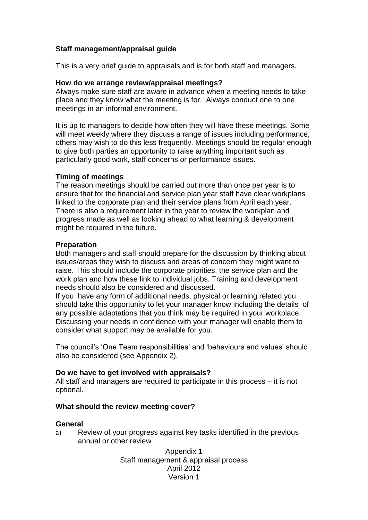## **Staff management/appraisal guide**

This is a very brief guide to appraisals and is for both staff and managers.

### **How do we arrange review/appraisal meetings?**

Always make sure staff are aware in advance when a meeting needs to take place and they know what the meeting is for. Always conduct one to one meetings in an informal environment.

It is up to managers to decide how often they will have these meetings. Some will meet weekly where they discuss a range of issues including performance, others may wish to do this less frequently. Meetings should be regular enough to give both parties an opportunity to raise anything important such as particularly good work, staff concerns or performance issues.

### **Timing of meetings**

The reason meetings should be carried out more than once per year is to ensure that for the financial and service plan year staff have clear workplans linked to the corporate plan and their service plans from April each year. There is also a requirement later in the year to review the workplan and progress made as well as looking ahead to what learning & development might be required in the future.

#### **Preparation**

Both managers and staff should prepare for the discussion by thinking about issues/areas they wish to discuss and areas of concern they might want to raise. This should include the corporate priorities, the service plan and the work plan and how these link to individual jobs. Training and development needs should also be considered and discussed.

If you have any form of additional needs, physical or learning related you should take this opportunity to let your manager know including the details of any possible adaptations that you think may be required in your workplace. Discussing your needs in confidence with your manager will enable them to consider what support may be available for you.

The council's 'One Team responsibilities' and 'behaviours and values' should also be considered (see Appendix 2).

### **Do we have to get involved with appraisals?**

All staff and managers are required to participate in this process – it is not optional.

#### **What should the review meeting cover?**

#### **General**

a) Review of your progress against key tasks identified in the previous annual or other review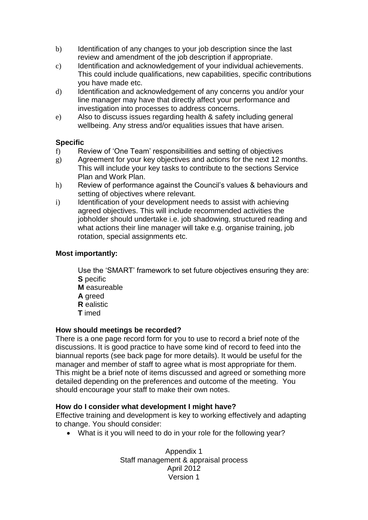- b) Identification of any changes to your job description since the last review and amendment of the job description if appropriate.
- c) Identification and acknowledgement of your individual achievements. This could include qualifications, new capabilities, specific contributions you have made etc.
- d) Identification and acknowledgement of any concerns you and/or your line manager may have that directly affect your performance and investigation into processes to address concerns.
- e) Also to discuss issues regarding health & safety including general wellbeing. Any stress and/or equalities issues that have arisen.

# **Specific**

- f) Review of 'One Team' responsibilities and setting of objectives
- g) Agreement for your key objectives and actions for the next 12 months. This will include your key tasks to contribute to the sections Service Plan and Work Plan.
- h) Review of performance against the Council's values & behaviours and setting of objectives where relevant.
- i) Identification of your development needs to assist with achieving agreed objectives. This will include recommended activities the jobholder should undertake i.e. job shadowing, structured reading and what actions their line manager will take e.g. organise training, job rotation, special assignments etc.

## **Most importantly:**

Use the 'SMART' framework to set future objectives ensuring they are: **S** pecific **M** easureable **A** greed **R** ealistic

**T** imed

# **How should meetings be recorded?**

There is a one page record form for you to use to record a brief note of the discussions. It is good practice to have some kind of record to feed into the biannual reports (see back page for more details). It would be useful for the manager and member of staff to agree what is most appropriate for them. This might be a brief note of items discussed and agreed or something more detailed depending on the preferences and outcome of the meeting. You should encourage your staff to make their own notes.

# **How do I consider what development I might have?**

Effective training and development is key to working effectively and adapting to change. You should consider:

What is it you will need to do in your role for the following year?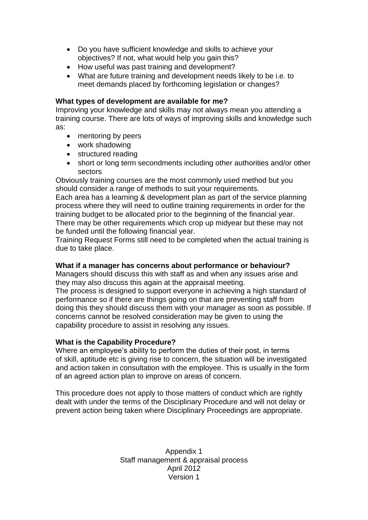- Do you have sufficient knowledge and skills to achieve your objectives? If not, what would help you gain this?
- How useful was past training and development?
- What are future training and development needs likely to be i.e. to meet demands placed by forthcoming legislation or changes?

### **What types of development are available for me?**

Improving your knowledge and skills may not always mean you attending a training course. There are lots of ways of improving skills and knowledge such as:

- mentoring by peers
- work shadowing
- structured reading
- short or long term secondments including other authorities and/or other sectors

Obviously training courses are the most commonly used method but you should consider a range of methods to suit your requirements.

Each area has a learning & development plan as part of the service planning process where they will need to outline training requirements in order for the training budget to be allocated prior to the beginning of the financial year. There may be other requirements which crop up midyear but these may not be funded until the following financial year.

Training Request Forms still need to be completed when the actual training is due to take place.

### **What if a manager has concerns about performance or behaviour?**

Managers should discuss this with staff as and when any issues arise and they may also discuss this again at the appraisal meeting.

The process is designed to support everyone in achieving a high standard of performance so if there are things going on that are preventing staff from doing this they should discuss them with your manager as soon as possible. If concerns cannot be resolved consideration may be given to using the capability procedure to assist in resolving any issues.

# **What is the Capability Procedure?**

Where an employee's ability to perform the duties of their post, in terms of skill, aptitude etc is giving rise to concern, the situation will be investigated and action taken in consultation with the employee. This is usually in the form of an agreed action plan to improve on areas of concern.

This procedure does not apply to those matters of conduct which are rightly dealt with under the terms of the Disciplinary Procedure and will not delay or prevent action being taken where Disciplinary Proceedings are appropriate.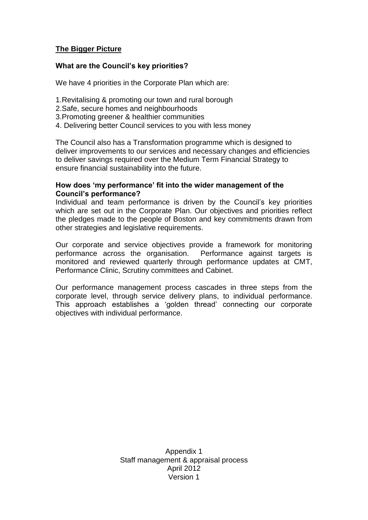# **The Bigger Picture**

### **What are the Council's key priorities?**

We have 4 priorities in the Corporate Plan which are:

- 1.Revitalising & promoting our town and rural borough
- 2.Safe, secure homes and neighbourhoods
- 3.Promoting greener & healthier communities
- 4. Delivering better Council services to you with less money

The Council also has a Transformation programme which is designed to deliver improvements to our services and necessary changes and efficiencies to deliver savings required over the Medium Term Financial Strategy to ensure financial sustainability into the future.

#### **How does 'my performance' fit into the wider management of the Council's performance?**

Individual and team performance is driven by the Council's key priorities which are set out in the Corporate Plan. Our objectives and priorities reflect the pledges made to the people of Boston and key commitments drawn from other strategies and legislative requirements.

Our corporate and service objectives provide a framework for monitoring performance across the organisation. Performance against targets is monitored and reviewed quarterly through performance updates at CMT, Performance Clinic, Scrutiny committees and Cabinet.

Our performance management process cascades in three steps from the corporate level, through service delivery plans, to individual performance. This approach establishes a 'golden thread' connecting our corporate objectives with individual performance.